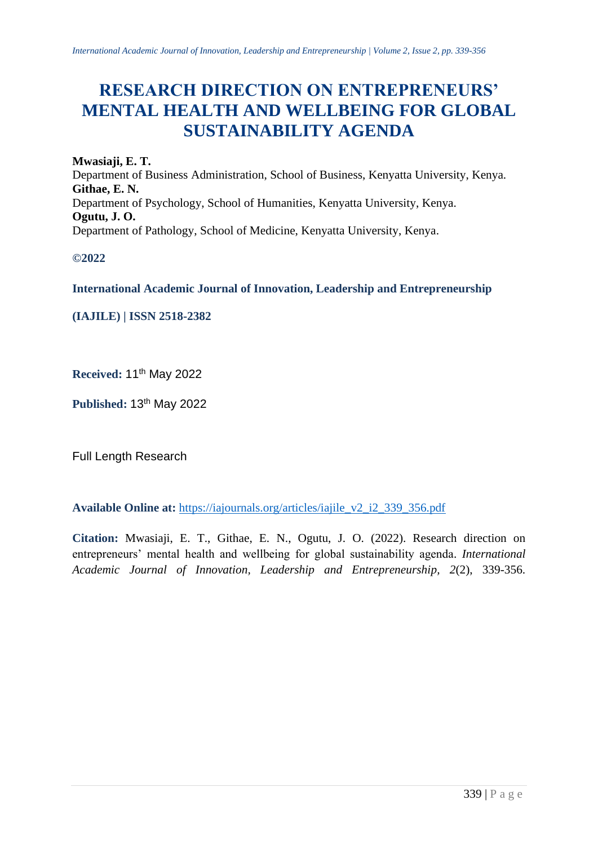# **RESEARCH DIRECTION ON ENTREPRENEURS' MENTAL HEALTH AND WELLBEING FOR GLOBAL SUSTAINABILITY AGENDA**

**Mwasiaji, E. T.** Department of Business Administration, School of Business, Kenyatta University, Kenya. **Githae, E. N.** Department of Psychology, School of Humanities, Kenyatta University, Kenya. **Ogutu, J. O.** Department of Pathology, School of Medicine, Kenyatta University, Kenya.

**©2022**

**International Academic Journal of Innovation, Leadership and Entrepreneurship** 

**(IAJILE) | ISSN 2518-2382**

**Received:** 11 th May 2022

Published: 13<sup>th</sup> May 2022

Full Length Research

**Available Online at:** [https://iajournals.org/articles/iajile\\_v2\\_i2\\_339\\_356.pdf](https://iajournals.org/articles/iajile_v2_i2_339_356.pdf)

**Citation:** Mwasiaji, E. T., Githae, E. N., Ogutu, J. O. (2022). Research direction on entrepreneurs' mental health and wellbeing for global sustainability agenda. *International Academic Journal of Innovation, Leadership and Entrepreneurship, 2*(2), 339-356.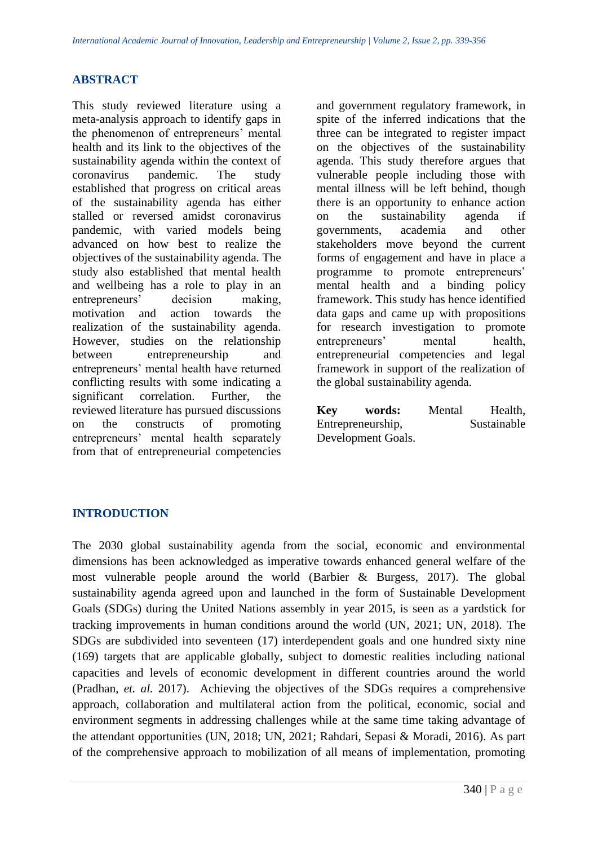## **ABSTRACT**

This study reviewed literature using a meta-analysis approach to identify gaps in the phenomenon of entrepreneurs' mental health and its link to the objectives of the sustainability agenda within the context of coronavirus pandemic. The study established that progress on critical areas of the sustainability agenda has either stalled or reversed amidst coronavirus pandemic, with varied models being advanced on how best to realize the objectives of the sustainability agenda. The study also established that mental health and wellbeing has a role to play in an entrepreneurs' decision making, motivation and action towards the realization of the sustainability agenda. However, studies on the relationship between entrepreneurship and entrepreneurs' mental health have returned conflicting results with some indicating a significant correlation. Further, the reviewed literature has pursued discussions on the constructs of promoting entrepreneurs' mental health separately from that of entrepreneurial competencies

and government regulatory framework, in spite of the inferred indications that the three can be integrated to register impact on the objectives of the sustainability agenda. This study therefore argues that vulnerable people including those with mental illness will be left behind, though there is an opportunity to enhance action on the sustainability agenda if governments, academia and other stakeholders move beyond the current forms of engagement and have in place a programme to promote entrepreneurs' mental health and a binding policy framework. This study has hence identified data gaps and came up with propositions for research investigation to promote entrepreneurs' mental health, entrepreneurial competencies and legal framework in support of the realization of the global sustainability agenda.

| Key                | words: | Mental | Health,     |
|--------------------|--------|--------|-------------|
| Entrepreneurship,  |        |        | Sustainable |
| Development Goals. |        |        |             |

# **INTRODUCTION**

The 2030 global sustainability agenda from the social, economic and environmental dimensions has been acknowledged as imperative towards enhanced general welfare of the most vulnerable people around the world (Barbier & Burgess, 2017). The global sustainability agenda agreed upon and launched in the form of Sustainable Development Goals (SDGs) during the United Nations assembly in year 2015, is seen as a yardstick for tracking improvements in human conditions around the world (UN, 2021; UN, 2018). The SDGs are subdivided into seventeen (17) interdependent goals and one hundred sixty nine (169) targets that are applicable globally, subject to domestic realities including national capacities and levels of economic development in different countries around the world (Pradhan, *et. al.* 2017). Achieving the objectives of the SDGs requires a comprehensive approach, collaboration and multilateral action from the political, economic, social and environment segments in addressing challenges while at the same time taking advantage of the attendant opportunities (UN, 2018; UN, 2021; Rahdari, Sepasi & Moradi, 2016). As part of the comprehensive approach to mobilization of all means of implementation, promoting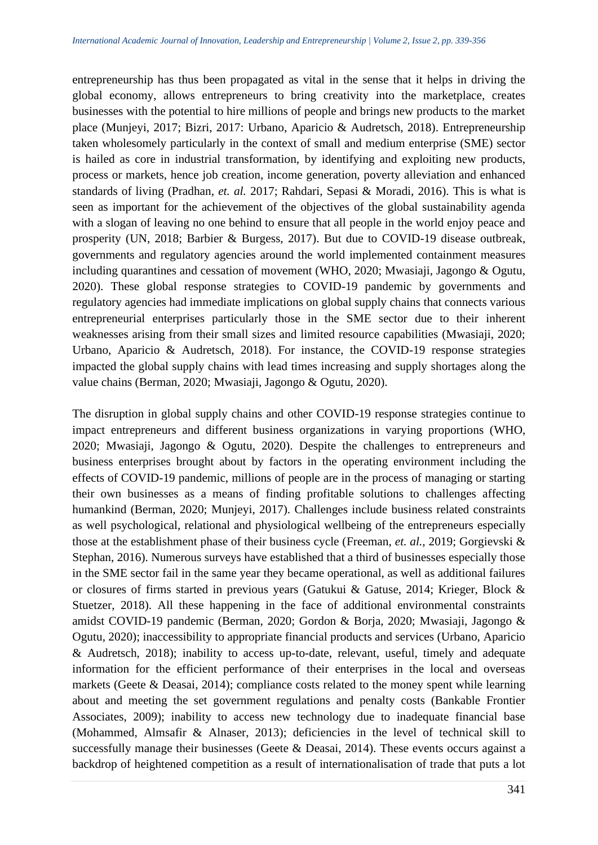entrepreneurship has thus been propagated as vital in the sense that it helps in driving the global economy, allows entrepreneurs to bring creativity into the marketplace, creates businesses with the potential to hire millions of people and brings new products to the market place (Munjeyi, 2017; Bizri, 2017: Urbano, Aparicio & Audretsch, 2018). Entrepreneurship taken wholesomely particularly in the context of small and medium enterprise (SME) sector is hailed as core in industrial transformation, by identifying and exploiting new products, process or markets, hence job creation, income generation, poverty alleviation and enhanced standards of living (Pradhan, *et. al.* 2017; Rahdari, Sepasi & Moradi, 2016). This is what is seen as important for the achievement of the objectives of the global sustainability agenda with a slogan of leaving no one behind to ensure that all people in the world enjoy peace and prosperity (UN, 2018; Barbier & Burgess, 2017). But due to COVID-19 disease outbreak, governments and regulatory agencies around the world implemented containment measures including quarantines and cessation of movement (WHO, 2020; Mwasiaji, Jagongo & Ogutu, 2020). These global response strategies to COVID-19 pandemic by governments and regulatory agencies had immediate implications on global supply chains that connects various entrepreneurial enterprises particularly those in the SME sector due to their inherent weaknesses arising from their small sizes and limited resource capabilities (Mwasiaji, 2020; Urbano, Aparicio & Audretsch, 2018). For instance, the COVID-19 response strategies impacted the global supply chains with lead times increasing and supply shortages along the value chains (Berman, 2020; Mwasiaji, Jagongo & Ogutu, 2020).

The disruption in global supply chains and other COVID-19 response strategies continue to impact entrepreneurs and different business organizations in varying proportions (WHO, 2020; Mwasiaji, Jagongo & Ogutu, 2020). Despite the challenges to entrepreneurs and business enterprises brought about by factors in the operating environment including the effects of COVID-19 pandemic, millions of people are in the process of managing or starting their own businesses as a means of finding profitable solutions to challenges affecting humankind (Berman, 2020; Munjeyi, 2017). Challenges include business related constraints as well psychological, relational and physiological wellbeing of the entrepreneurs especially those at the establishment phase of their business cycle (Freeman, *et. al.,* 2019; Gorgievski & Stephan, 2016). Numerous surveys have established that a third of businesses especially those in the SME sector fail in the same year they became operational, as well as additional failures or closures of firms started in previous years (Gatukui & Gatuse, 2014; Krieger, Block & Stuetzer, 2018). All these happening in the face of additional environmental constraints amidst COVID-19 pandemic (Berman, 2020; Gordon & Borja, 2020; Mwasiaji, Jagongo & Ogutu, 2020); inaccessibility to appropriate financial products and services (Urbano, Aparicio & Audretsch, 2018); inability to access up-to-date, relevant, useful, timely and adequate information for the efficient performance of their enterprises in the local and overseas markets (Geete & Deasai, 2014); compliance costs related to the money spent while learning about and meeting the set government regulations and penalty costs (Bankable Frontier Associates, 2009); inability to access new technology due to inadequate financial base (Mohammed, Almsafir & Alnaser, 2013); deficiencies in the level of technical skill to successfully manage their businesses (Geete & Deasai, 2014). These events occurs against a backdrop of heightened competition as a result of internationalisation of trade that puts a lot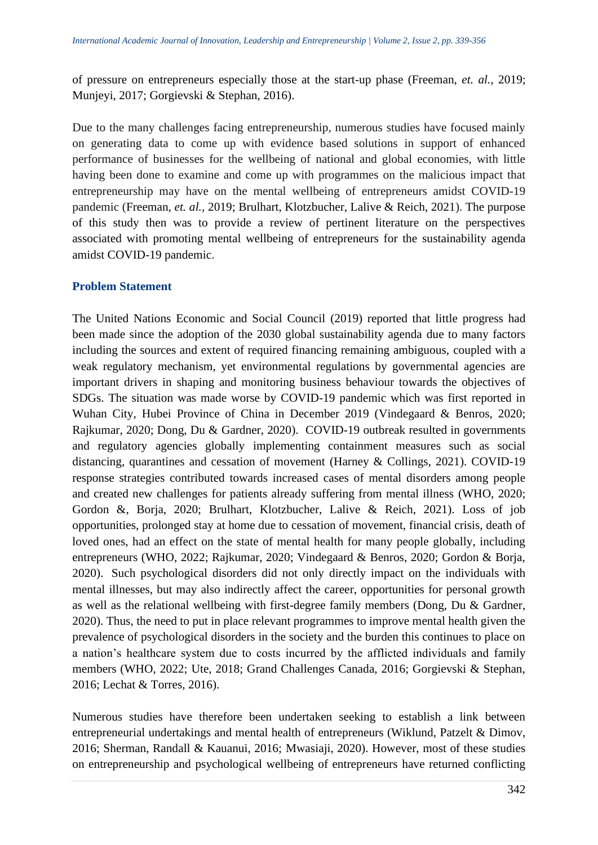of pressure on entrepreneurs especially those at the start-up phase (Freeman, *et. al.,* 2019; Munjeyi, 2017; Gorgievski & Stephan, 2016).

Due to the many challenges facing entrepreneurship, numerous studies have focused mainly on generating data to come up with evidence based solutions in support of enhanced performance of businesses for the wellbeing of national and global economies, with little having been done to examine and come up with programmes on the malicious impact that entrepreneurship may have on the mental wellbeing of entrepreneurs amidst COVID-19 pandemic (Freeman, *et. al.,* 2019; Brulhart, Klotzbucher, Lalive & Reich, 2021). The purpose of this study then was to provide a review of pertinent literature on the perspectives associated with promoting mental wellbeing of entrepreneurs for the sustainability agenda amidst COVID-19 pandemic.

# **Problem Statement**

The United Nations Economic and Social Council (2019) reported that little progress had been made since the adoption of the 2030 global sustainability agenda due to many factors including the sources and extent of required financing remaining ambiguous, coupled with a weak regulatory mechanism, yet environmental regulations by governmental agencies are important drivers in shaping and monitoring business behaviour towards the objectives of SDGs. The situation was made worse by COVID-19 pandemic which was first reported in Wuhan City, Hubei Province of China in December 2019 (Vindegaard & Benros, 2020; Rajkumar, 2020; Dong, Du & Gardner, 2020). COVID-19 outbreak resulted in governments and regulatory agencies globally implementing containment measures such as social distancing, quarantines and cessation of movement (Harney & Collings, 2021). COVID-19 response strategies contributed towards increased cases of mental disorders among people and created new challenges for patients already suffering from mental illness (WHO, 2020; Gordon &, Borja, 2020; Brulhart, Klotzbucher, Lalive & Reich, 2021). Loss of job opportunities, prolonged stay at home due to cessation of movement, financial crisis, death of loved ones, had an effect on the state of mental health for many people globally, including entrepreneurs (WHO, 2022; Rajkumar, 2020; Vindegaard & Benros, 2020; Gordon & Borja, 2020). Such psychological disorders did not only directly impact on the individuals with mental illnesses, but may also indirectly affect the career, opportunities for personal growth as well as the relational wellbeing with first-degree family members (Dong, Du & Gardner, 2020). Thus, the need to put in place relevant programmes to improve mental health given the prevalence of psychological disorders in the society and the burden this continues to place on a nation's healthcare system due to costs incurred by the afflicted individuals and family members (WHO, 2022; Ute, 2018; Grand Challenges Canada, 2016; Gorgievski & Stephan, 2016; Lechat & Torres, 2016).

Numerous studies have therefore been undertaken seeking to establish a link between entrepreneurial undertakings and mental health of entrepreneurs (Wiklund, Patzelt & Dimov, 2016; Sherman, Randall & Kauanui, 2016; Mwasiaji, 2020). However, most of these studies on entrepreneurship and psychological wellbeing of entrepreneurs have returned conflicting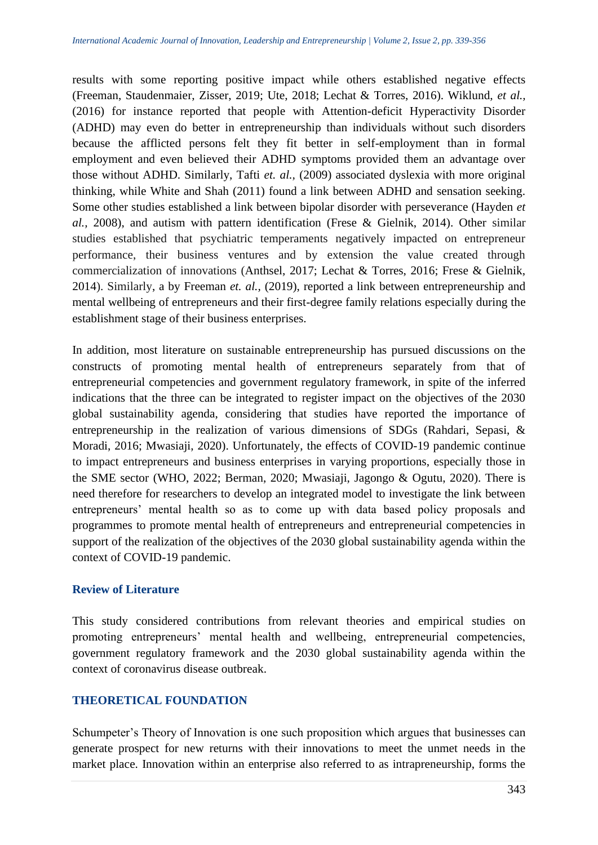results with some reporting positive impact while others established negative effects (Freeman, Staudenmaier, Zisser, 2019; Ute, 2018; Lechat & Torres, 2016). Wiklund, *et al.,* (2016) for instance reported that people with Attention-deficit Hyperactivity Disorder (ADHD) may even do better in entrepreneurship than individuals without such disorders because the afflicted persons felt they fit better in self-employment than in formal employment and even believed their ADHD symptoms provided them an advantage over those without ADHD. Similarly, Tafti *et. al.,* (2009) associated dyslexia with more original thinking, while White and Shah (2011) found a link between ADHD and sensation seeking. Some other studies established a link between bipolar disorder with perseverance (Hayden *et al.,* 2008), and autism with pattern identification (Frese & Gielnik, 2014). Other similar studies established that psychiatric temperaments negatively impacted on entrepreneur performance, their business ventures and by extension the value created through commercialization of innovations (Anthsel, 2017; Lechat & Torres, 2016; Frese & Gielnik, 2014). Similarly, a by Freeman *et. al.,* (2019), reported a link between entrepreneurship and mental wellbeing of entrepreneurs and their first-degree family relations especially during the establishment stage of their business enterprises.

In addition, most literature on sustainable entrepreneurship has pursued discussions on the constructs of promoting mental health of entrepreneurs separately from that of entrepreneurial competencies and government regulatory framework, in spite of the inferred indications that the three can be integrated to register impact on the objectives of the 2030 global sustainability agenda, considering that studies have reported the importance of entrepreneurship in the realization of various dimensions of SDGs (Rahdari, Sepasi, & Moradi, 2016; Mwasiaji, 2020). Unfortunately, the effects of COVID-19 pandemic continue to impact entrepreneurs and business enterprises in varying proportions, especially those in the SME sector (WHO, 2022; Berman, 2020; Mwasiaji, Jagongo & Ogutu, 2020). There is need therefore for researchers to develop an integrated model to investigate the link between entrepreneurs' mental health so as to come up with data based policy proposals and programmes to promote mental health of entrepreneurs and entrepreneurial competencies in support of the realization of the objectives of the 2030 global sustainability agenda within the context of COVID-19 pandemic.

# **Review of Literature**

This study considered contributions from relevant theories and empirical studies on promoting entrepreneurs' mental health and wellbeing, entrepreneurial competencies, government regulatory framework and the 2030 global sustainability agenda within the context of coronavirus disease outbreak.

# **THEORETICAL FOUNDATION**

Schumpeter's Theory of Innovation is one such proposition which argues that businesses can generate prospect for new returns with their innovations to meet the unmet needs in the market place. Innovation within an enterprise also referred to as intrapreneurship, forms the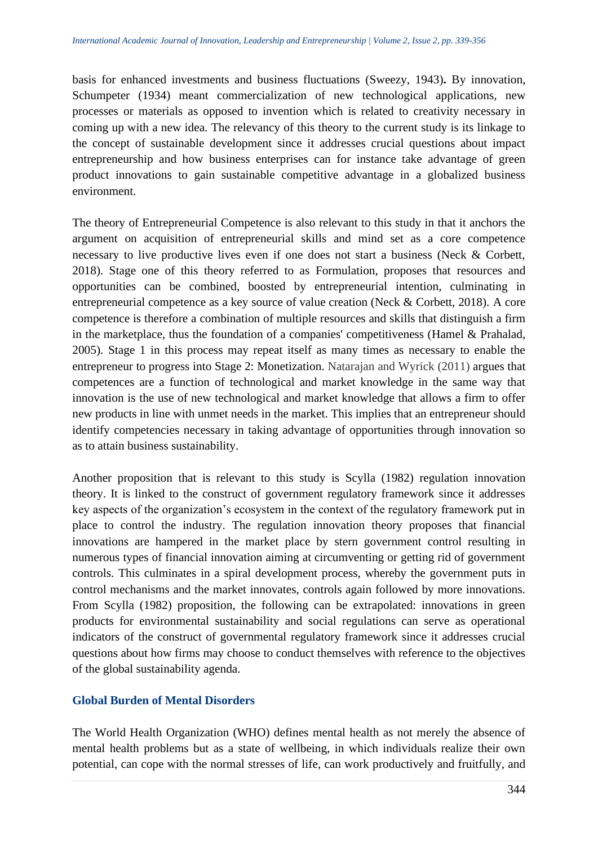basis for enhanced investments and business fluctuations (Sweezy, 1943)**.** By innovation, Schumpeter (1934) meant commercialization of new technological applications, new processes or materials as opposed to invention which is related to creativity necessary in coming up with a new idea. The relevancy of this theory to the current study is its linkage to the concept of sustainable development since it addresses crucial questions about impact entrepreneurship and how business enterprises can for instance take advantage of green product innovations to gain sustainable competitive advantage in a globalized business environment.

The theory of Entrepreneurial Competence is also relevant to this study in that it anchors the argument on acquisition of entrepreneurial skills and mind set as a core competence necessary to live productive lives even if one does not start a business (Neck & Corbett, 2018). Stage one of this theory referred to as Formulation, proposes that resources and opportunities can be combined, boosted by entrepreneurial intention, culminating in entrepreneurial competence as a key source of value creation (Neck & Corbett, 2018). A core competence is therefore a combination of multiple resources and skills that distinguish a firm in the marketplace, thus the foundation of a companies' competitiveness (Hamel & Prahalad, 2005). Stage 1 in this process may repeat itself as many times as necessary to enable the entrepreneur to progress into Stage 2: Monetization. Natarajan and Wyrick (2011) argues that competences are a function of technological and market knowledge in the same way that innovation is the use of new technological and market knowledge that allows a firm to offer new products in line with unmet needs in the market. This implies that an entrepreneur should identify competencies necessary in taking advantage of opportunities through innovation so as to attain business sustainability.

Another proposition that is relevant to this study is Scylla (1982) regulation innovation theory. It is linked to the construct of government regulatory framework since it addresses key aspects of the organization's ecosystem in the context of the regulatory framework put in place to control the industry. The regulation innovation theory proposes that financial innovations are hampered in the market place by stern government control resulting in numerous types of financial innovation aiming at circumventing or getting rid of government controls. This culminates in a spiral development process, whereby the government puts in control mechanisms and the market innovates, controls again followed by more innovations. From Scylla (1982) proposition, the following can be extrapolated: innovations in green products for environmental sustainability and social regulations can serve as operational indicators of the construct of governmental regulatory framework since it addresses crucial questions about how firms may choose to conduct themselves with reference to the objectives of the global sustainability agenda.

# **Global Burden of Mental Disorders**

The World Health Organization (WHO) defines mental health as not merely the absence of mental health problems but as a state of wellbeing, in which individuals realize their own potential, can cope with the normal stresses of life, can work productively and fruitfully, and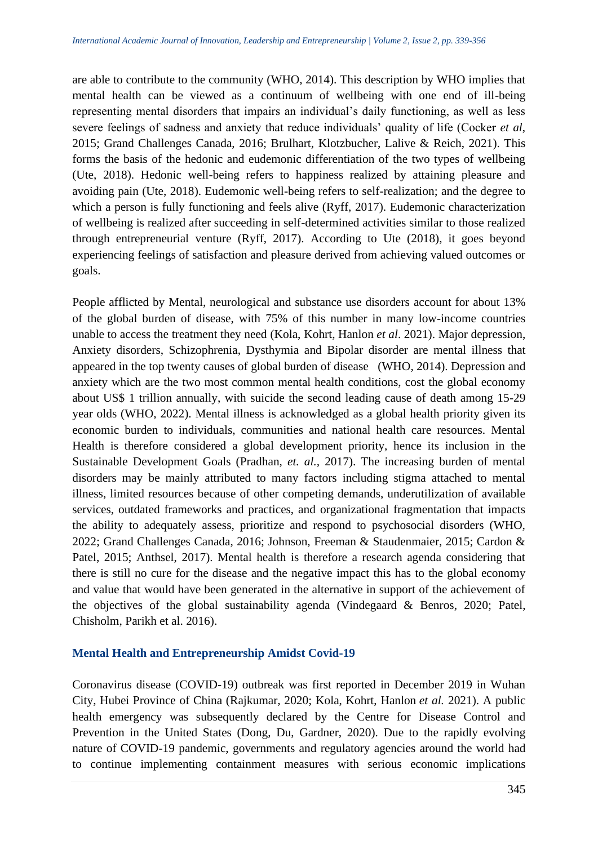are able to contribute to the community (WHO, 2014). This description by WHO implies that mental health can be viewed as a continuum of wellbeing with one end of ill-being representing mental disorders that impairs an individual's daily functioning, as well as less severe feelings of sadness and anxiety that reduce individuals' quality of life (Cocker *et al*, 2015; Grand Challenges Canada, 2016; Brulhart, Klotzbucher, Lalive & Reich, 2021). This forms the basis of the hedonic and eudemonic differentiation of the two types of wellbeing (Ute, 2018). Hedonic well-being refers to happiness realized by attaining pleasure and avoiding pain (Ute, 2018). Eudemonic well-being refers to self-realization; and the degree to which a person is fully functioning and feels alive (Ryff, 2017). Eudemonic characterization of wellbeing is realized after succeeding in self-determined activities similar to those realized through entrepreneurial venture (Ryff, 2017). According to Ute (2018), it goes beyond experiencing feelings of satisfaction and pleasure derived from achieving valued outcomes or goals.

People afflicted by Mental, neurological and substance use disorders account for about 13% of the global burden of disease, with 75% of this number in many low-income countries unable to access the treatment they need (Kola, Kohrt, Hanlon *et al*. 2021). Major depression, Anxiety disorders, Schizophrenia, Dysthymia and Bipolar disorder are mental illness that appeared in the top twenty causes of global burden of disease (WHO, 2014). Depression and anxiety which are the two most common mental health conditions, cost the global economy about US\$ 1 trillion annually, with suicide the second leading cause of death among 15-29 year olds (WHO, 2022). Mental illness is acknowledged as a global health priority given its economic burden to individuals, communities and national health care resources. Mental Health is therefore considered a global development priority, hence its inclusion in the Sustainable Development Goals (Pradhan, *et. al.,* 2017). The increasing burden of mental disorders may be mainly attributed to many factors including stigma attached to mental illness, limited resources because of other competing demands, underutilization of available services, outdated frameworks and practices, and organizational fragmentation that impacts the ability to adequately assess, prioritize and respond to psychosocial disorders (WHO, 2022; Grand Challenges Canada, 2016; Johnson, Freeman & Staudenmaier, 2015; Cardon & Patel, 2015; Anthsel, 2017). Mental health is therefore a research agenda considering that there is still no cure for the disease and the negative impact this has to the global economy and value that would have been generated in the alternative in support of the achievement of the objectives of the global sustainability agenda (Vindegaard & Benros, 2020; Patel, Chisholm, Parikh et al. 2016).

# **Mental Health and Entrepreneurship Amidst Covid-19**

Coronavirus disease (COVID-19) outbreak was first reported in December 2019 in Wuhan City, Hubei Province of China (Rajkumar, 2020; Kola, Kohrt, Hanlon *et al.* 2021). A public health emergency was subsequently declared by the Centre for Disease Control and Prevention in the United States (Dong, Du, Gardner, 2020). Due to the rapidly evolving nature of COVID-19 pandemic, governments and regulatory agencies around the world had to continue implementing containment measures with serious economic implications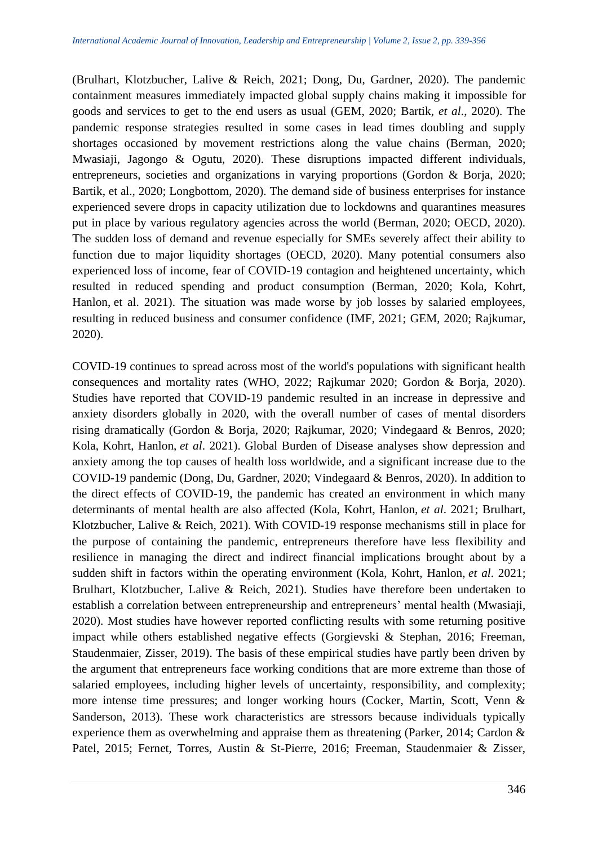(Brulhart, Klotzbucher, Lalive & Reich, 2021; Dong, Du, Gardner, 2020). The pandemic containment measures immediately impacted global supply chains making it impossible for goods and services to get to the end users as usual (GEM, 2020; Bartik, *et al*., 2020). The pandemic response strategies resulted in some cases in lead times doubling and supply shortages occasioned by movement restrictions along the value chains (Berman, 2020; Mwasiaji, Jagongo & Ogutu, 2020). These disruptions impacted different individuals, entrepreneurs, societies and organizations in varying proportions (Gordon & Borja, 2020; Bartik, et al., 2020; Longbottom, 2020). The demand side of business enterprises for instance experienced severe drops in capacity utilization due to lockdowns and quarantines measures put in place by various regulatory agencies across the world (Berman, 2020; OECD, 2020). The sudden loss of demand and revenue especially for SMEs severely affect their ability to function due to major liquidity shortages (OECD, 2020). Many potential consumers also experienced loss of income, fear of COVID-19 contagion and heightened uncertainty, which resulted in reduced spending and product consumption (Berman, 2020; Kola, Kohrt, Hanlon, et al. 2021). The situation was made worse by job losses by salaried employees, resulting in reduced business and consumer confidence (IMF, 2021; GEM, 2020; Rajkumar, 2020).

COVID-19 continues to spread across most of the world's populations with significant health consequences and mortality rates (WHO, 2022; Rajkumar 2020; Gordon & Borja, 2020). Studies have reported that COVID-19 pandemic resulted in an increase in depressive and anxiety disorders globally in 2020, with the overall number of cases of mental disorders rising dramatically (Gordon & Borja, 2020; Rajkumar, 2020; Vindegaard & Benros, 2020; Kola, Kohrt, Hanlon, *et al*. 2021). Global Burden of Disease analyses show depression and anxiety among the top causes of health loss worldwide, and a significant increase due to the COVID-19 pandemic (Dong, Du, Gardner, 2020; Vindegaard & Benros, 2020). In addition to the direct effects of COVID-19, the pandemic has created an environment in which many determinants of mental health are also affected (Kola, Kohrt, Hanlon, *et al*. 2021; Brulhart, Klotzbucher, Lalive & Reich, 2021). With COVID-19 response mechanisms still in place for the purpose of containing the pandemic, entrepreneurs therefore have less flexibility and resilience in managing the direct and indirect financial implications brought about by a sudden shift in factors within the operating environment (Kola, Kohrt, Hanlon, *et al*. 2021; Brulhart, Klotzbucher, Lalive & Reich, 2021). Studies have therefore been undertaken to establish a correlation between entrepreneurship and entrepreneurs' mental health (Mwasiaji, 2020). Most studies have however reported conflicting results with some returning positive impact while others established negative effects (Gorgievski & Stephan, 2016; Freeman, Staudenmaier, Zisser, 2019). The basis of these empirical studies have partly been driven by the argument that entrepreneurs face working conditions that are more extreme than those of salaried employees, including higher levels of uncertainty, responsibility, and complexity; more intense time pressures; and longer working hours (Cocker, Martin, Scott, Venn & Sanderson, 2013). These work characteristics are stressors because individuals typically experience them as overwhelming and appraise them as threatening (Parker, 2014; Cardon & Patel, 2015; Fernet, Torres, Austin & St-Pierre, 2016; Freeman, Staudenmaier & Zisser,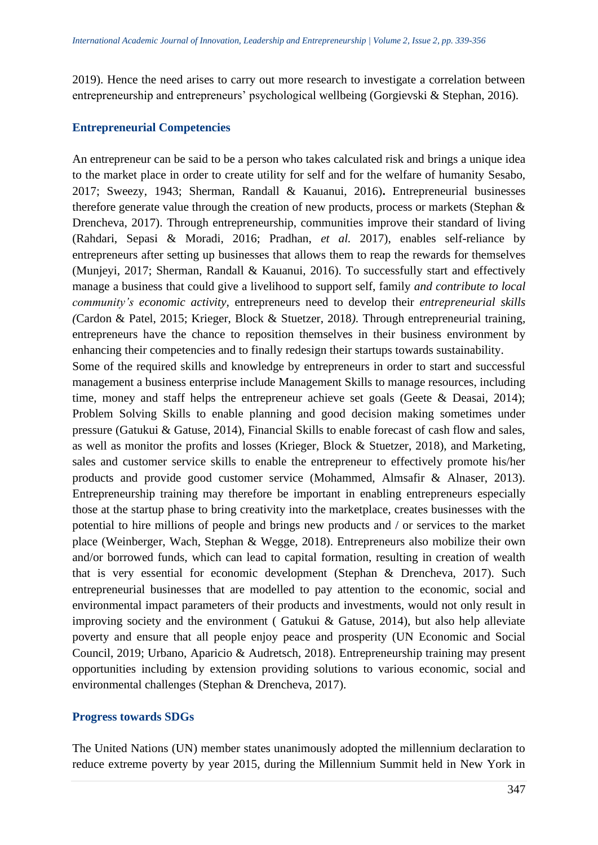2019). Hence the need arises to carry out more research to investigate a correlation between entrepreneurship and entrepreneurs' psychological wellbeing (Gorgievski & Stephan, 2016).

# **Entrepreneurial Competencies**

An entrepreneur can be said to be a person who takes calculated risk and brings a unique idea to the market place in order to create utility for self and for the welfare of humanity Sesabo, 2017; Sweezy, 1943; Sherman, Randall & Kauanui, 2016)**.** Entrepreneurial businesses therefore generate value through the creation of new products, process or markets (Stephan & Drencheva, 2017). Through entrepreneurship, communities improve their standard of living (Rahdari, Sepasi & Moradi, 2016; Pradhan, *et al.* 2017), enables self-reliance by entrepreneurs after setting up businesses that allows them to reap the rewards for themselves (Munjeyi, 2017; Sherman, Randall & Kauanui, 2016). To successfully start and effectively manage a business that could give a livelihood to support self, family *and contribute to local community's economic activity,* entrepreneurs need to develop their *entrepreneurial skills (*Cardon & Patel, 2015; Krieger, Block & Stuetzer, 2018*).* Through entrepreneurial training, entrepreneurs have the chance to reposition themselves in their business environment by enhancing their competencies and to finally redesign their startups towards sustainability. Some of the required skills and knowledge by entrepreneurs in order to start and successful management a business enterprise include Management Skills to manage resources, including time, money and staff helps the entrepreneur achieve set goals (Geete & Deasai, 2014); Problem Solving Skills to enable planning and good decision making sometimes under pressure (Gatukui & Gatuse, 2014), Financial Skills to enable forecast of cash flow and sales, as well as monitor the profits and losses (Krieger, Block & Stuetzer, 2018), and Marketing, sales and customer service skills to enable the entrepreneur to effectively promote his/her products and provide good customer service (Mohammed, Almsafir & Alnaser, 2013). Entrepreneurship training may therefore be important in enabling entrepreneurs especially those at the startup phase to bring creativity into the marketplace, creates businesses with the potential to hire millions of people and brings new products and / or services to the market place (Weinberger, Wach, Stephan & Wegge, 2018). Entrepreneurs also mobilize their own and/or borrowed funds, which can lead to capital formation, resulting in creation of wealth that is very essential for economic development (Stephan & Drencheva, 2017). Such entrepreneurial businesses that are modelled to pay attention to the economic, social and environmental impact parameters of their products and investments, would not only result in improving society and the environment ( Gatukui & Gatuse, 2014), but also help alleviate poverty and ensure that all people enjoy peace and prosperity (UN Economic and Social

Council, 2019; Urbano, Aparicio & Audretsch, 2018). Entrepreneurship training may present opportunities including by extension providing solutions to various economic, social and environmental challenges (Stephan & Drencheva, 2017).

#### **Progress towards SDGs**

The United Nations (UN) member states unanimously adopted the millennium declaration to reduce extreme poverty by year 2015, during the Millennium Summit held in New York in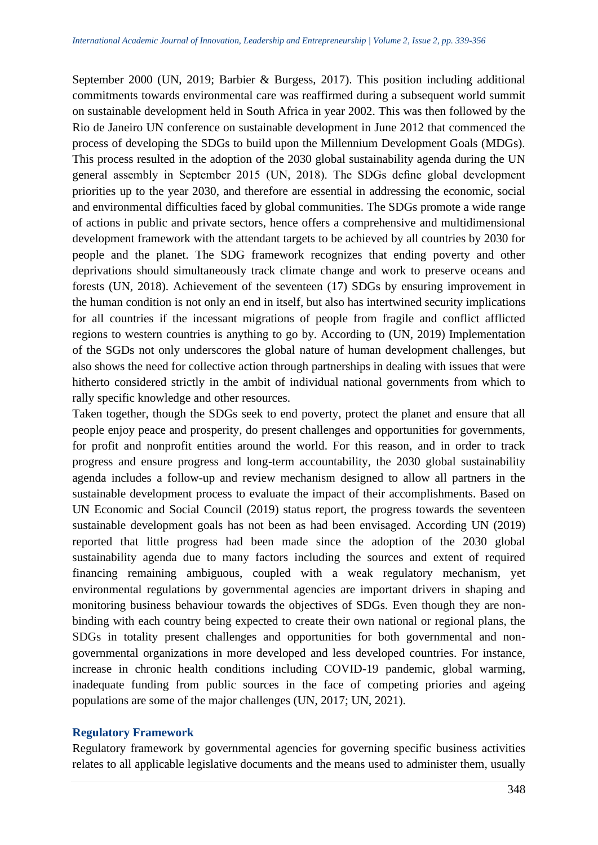September 2000 (UN, 2019; Barbier & Burgess, 2017). This position including additional commitments towards environmental care was reaffirmed during a subsequent world summit on sustainable development held in South Africa in year 2002. This was then followed by the Rio de Janeiro UN conference on sustainable development in June 2012 that commenced the process of developing the SDGs to build upon the Millennium Development Goals (MDGs). This process resulted in the adoption of the 2030 global sustainability agenda during the UN general assembly in September 2015 (UN, 2018). The SDGs define global development priorities up to the year 2030, and therefore are essential in addressing the economic, social and environmental difficulties faced by global communities. The SDGs promote a wide range of actions in public and private sectors, hence offers a comprehensive and multidimensional development framework with the attendant targets to be achieved by all countries by 2030 for people and the planet. The SDG framework recognizes that ending poverty and other deprivations should simultaneously track climate change and work to preserve oceans and forests (UN, 2018). Achievement of the seventeen (17) SDGs by ensuring improvement in the human condition is not only an end in itself, but also has intertwined security implications for all countries if the incessant migrations of people from fragile and conflict afflicted regions to western countries is anything to go by. According to (UN, 2019) Implementation of the SGDs not only underscores the global nature of human development challenges, but also shows the need for collective action through partnerships in dealing with issues that were hitherto considered strictly in the ambit of individual national governments from which to rally specific knowledge and other resources.

Taken together, though the SDGs seek to end poverty, protect the planet and ensure that all people enjoy peace and prosperity, do present challenges and opportunities for governments, for profit and nonprofit entities around the world. For this reason, and in order to track progress and ensure progress and long-term accountability, the 2030 global sustainability agenda includes a follow-up and review mechanism designed to allow all partners in the sustainable development process to evaluate the impact of their accomplishments. Based on UN Economic and Social Council (2019) status report, the progress towards the seventeen sustainable development goals has not been as had been envisaged. According UN (2019) reported that little progress had been made since the adoption of the 2030 global sustainability agenda due to many factors including the sources and extent of required financing remaining ambiguous, coupled with a weak regulatory mechanism, yet environmental regulations by governmental agencies are important drivers in shaping and monitoring business behaviour towards the objectives of SDGs. Even though they are nonbinding with each country being expected to create their own national or regional plans, the SDGs in totality present challenges and opportunities for both governmental and nongovernmental organizations in more developed and less developed countries. For instance, increase in chronic health conditions including COVID-19 pandemic, global warming, inadequate funding from public sources in the face of competing priories and ageing populations are some of the major challenges (UN, 2017; UN, 2021).

#### **Regulatory Framework**

Regulatory framework by governmental agencies for governing specific business activities relates to all applicable legislative documents and the means used to administer them, usually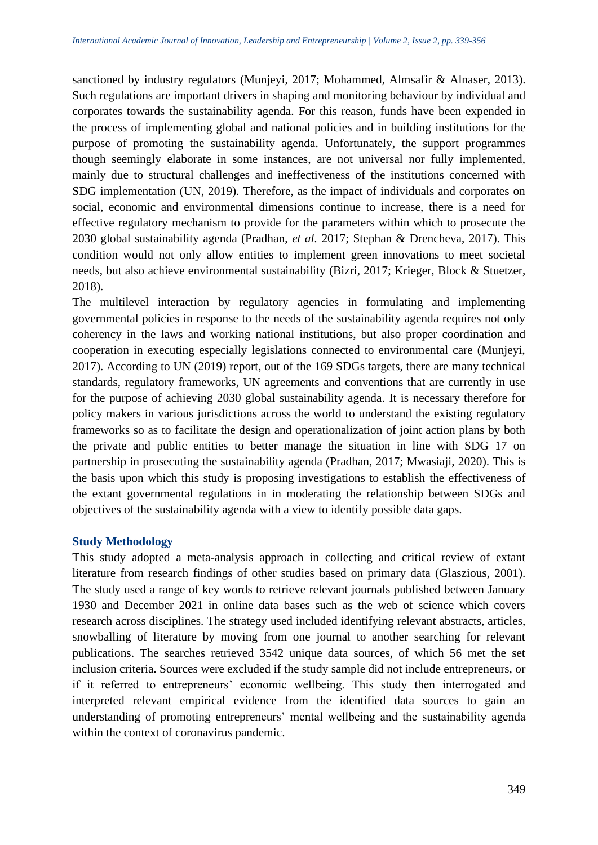sanctioned by industry regulators (Munjeyi, 2017; Mohammed, Almsafir & Alnaser, 2013). Such regulations are important drivers in shaping and monitoring behaviour by individual and corporates towards the sustainability agenda. For this reason, funds have been expended in the process of implementing global and national policies and in building institutions for the purpose of promoting the sustainability agenda. Unfortunately, the support programmes though seemingly elaborate in some instances, are not universal nor fully implemented, mainly due to structural challenges and ineffectiveness of the institutions concerned with SDG implementation (UN, 2019). Therefore, as the impact of individuals and corporates on social, economic and environmental dimensions continue to increase, there is a need for effective regulatory mechanism to provide for the parameters within which to prosecute the 2030 global sustainability agenda (Pradhan, *et al.* 2017; Stephan & Drencheva, 2017). This condition would not only allow entities to implement green innovations to meet societal needs, but also achieve environmental sustainability (Bizri, 2017; Krieger, Block & Stuetzer, 2018).

The multilevel interaction by regulatory agencies in formulating and implementing governmental policies in response to the needs of the sustainability agenda requires not only coherency in the laws and working national institutions, but also proper coordination and cooperation in executing especially legislations connected to environmental care (Munjeyi, 2017). According to UN (2019) report, out of the 169 SDGs targets, there are many technical standards, regulatory frameworks, UN agreements and conventions that are currently in use for the purpose of achieving 2030 global sustainability agenda. It is necessary therefore for policy makers in various jurisdictions across the world to understand the existing regulatory frameworks so as to facilitate the design and operationalization of joint action plans by both the private and public entities to better manage the situation in line with SDG 17 on partnership in prosecuting the sustainability agenda (Pradhan, 2017; Mwasiaji, 2020). This is the basis upon which this study is proposing investigations to establish the effectiveness of the extant governmental regulations in in moderating the relationship between SDGs and objectives of the sustainability agenda with a view to identify possible data gaps.

# **Study Methodology**

This study adopted a meta-analysis approach in collecting and critical review of extant literature from research findings of other studies based on primary data (Glaszious, 2001). The study used a range of key words to retrieve relevant journals published between January 1930 and December 2021 in online data bases such as the web of science which covers research across disciplines. The strategy used included identifying relevant abstracts, articles, snowballing of literature by moving from one journal to another searching for relevant publications. The searches retrieved 3542 unique data sources, of which 56 met the set inclusion criteria. Sources were excluded if the study sample did not include entrepreneurs, or if it referred to entrepreneurs' economic wellbeing. This study then interrogated and interpreted relevant empirical evidence from the identified data sources to gain an understanding of promoting entrepreneurs' mental wellbeing and the sustainability agenda within the context of coronavirus pandemic.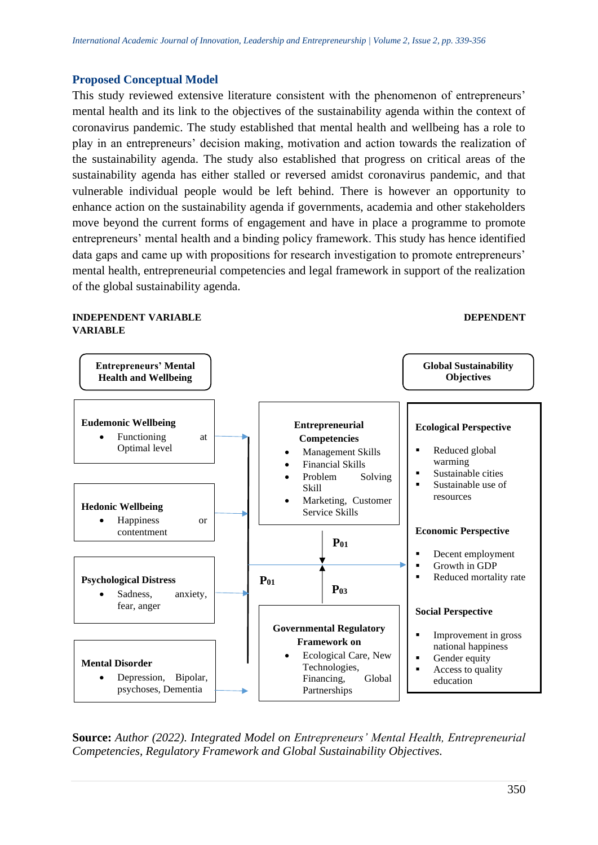#### **Proposed Conceptual Model**

This study reviewed extensive literature consistent with the phenomenon of entrepreneurs' mental health and its link to the objectives of the sustainability agenda within the context of coronavirus pandemic. The study established that mental health and wellbeing has a role to play in an entrepreneurs' decision making, motivation and action towards the realization of the sustainability agenda. The study also established that progress on critical areas of the sustainability agenda has either stalled or reversed amidst coronavirus pandemic, and that vulnerable individual people would be left behind. There is however an opportunity to enhance action on the sustainability agenda if governments, academia and other stakeholders move beyond the current forms of engagement and have in place a programme to promote entrepreneurs' mental health and a binding policy framework. This study has hence identified data gaps and came up with propositions for research investigation to promote entrepreneurs' mental health, entrepreneurial competencies and legal framework in support of the realization of the global sustainability agenda.

## **INDEPENDENT VARIABLE DEPENDENT VARIABLE**



**Source:** *Author (2022). Integrated Model on Entrepreneurs' Mental Health, Entrepreneurial Competencies, Regulatory Framework and Global Sustainability Objectives.*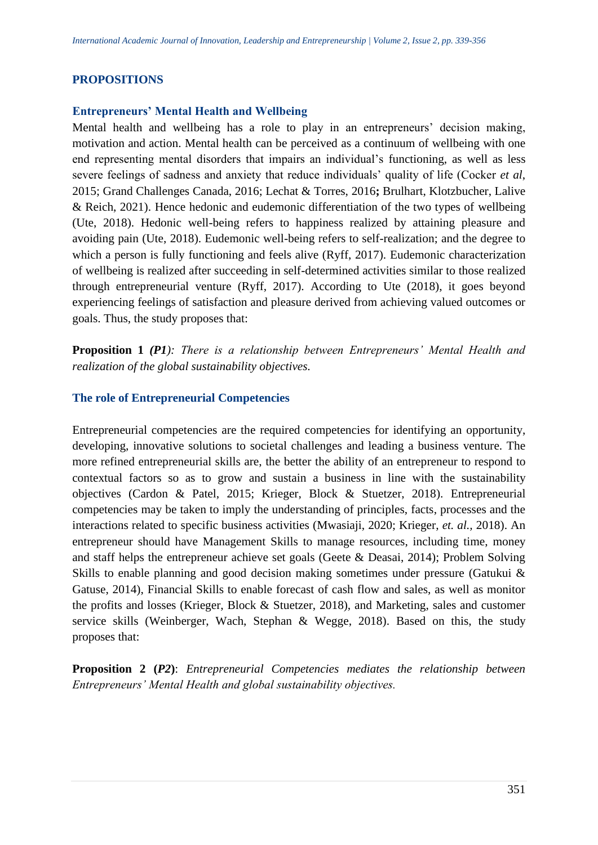# **PROPOSITIONS**

# **Entrepreneurs' Mental Health and Wellbeing**

Mental health and wellbeing has a role to play in an entrepreneurs' decision making, motivation and action. Mental health can be perceived as a continuum of wellbeing with one end representing mental disorders that impairs an individual's functioning, as well as less severe feelings of sadness and anxiety that reduce individuals' quality of life (Cocker *et al*, 2015; Grand Challenges Canada, 2016; Lechat & Torres, 2016**;** Brulhart, Klotzbucher, Lalive & Reich, 2021). Hence hedonic and eudemonic differentiation of the two types of wellbeing (Ute, 2018). Hedonic well-being refers to happiness realized by attaining pleasure and avoiding pain (Ute, 2018). Eudemonic well-being refers to self-realization; and the degree to which a person is fully functioning and feels alive (Ryff, 2017). Eudemonic characterization of wellbeing is realized after succeeding in self-determined activities similar to those realized through entrepreneurial venture (Ryff, 2017). According to Ute (2018), it goes beyond experiencing feelings of satisfaction and pleasure derived from achieving valued outcomes or goals. Thus, the study proposes that:

**Proposition 1** *(P1): There is a relationship between Entrepreneurs' Mental Health and realization of the global sustainability objectives.*

# **The role of Entrepreneurial Competencies**

Entrepreneurial competencies are the required competencies for identifying an opportunity, developing, innovative solutions to societal challenges and leading a business venture. The more refined entrepreneurial skills are, the better the ability of an entrepreneur to respond to contextual factors so as to grow and sustain a business in line with the sustainability objectives (Cardon & Patel, 2015; Krieger, Block & Stuetzer, 2018). Entrepreneurial competencies may be taken to imply the understanding of principles, facts, processes and the interactions related to specific business activities (Mwasiaji, 2020; Krieger, *et. al.,* 2018). An entrepreneur should have Management Skills to manage resources, including time, money and staff helps the entrepreneur achieve set goals (Geete & Deasai, 2014); Problem Solving Skills to enable planning and good decision making sometimes under pressure (Gatukui & Gatuse, 2014), Financial Skills to enable forecast of cash flow and sales, as well as monitor the profits and losses (Krieger, Block & Stuetzer, 2018), and Marketing, sales and customer service skills (Weinberger, Wach, Stephan & Wegge, 2018). Based on this, the study proposes that:

**Proposition 2 (***P2***)**: *Entrepreneurial Competencies mediates the relationship between Entrepreneurs' Mental Health and global sustainability objectives.*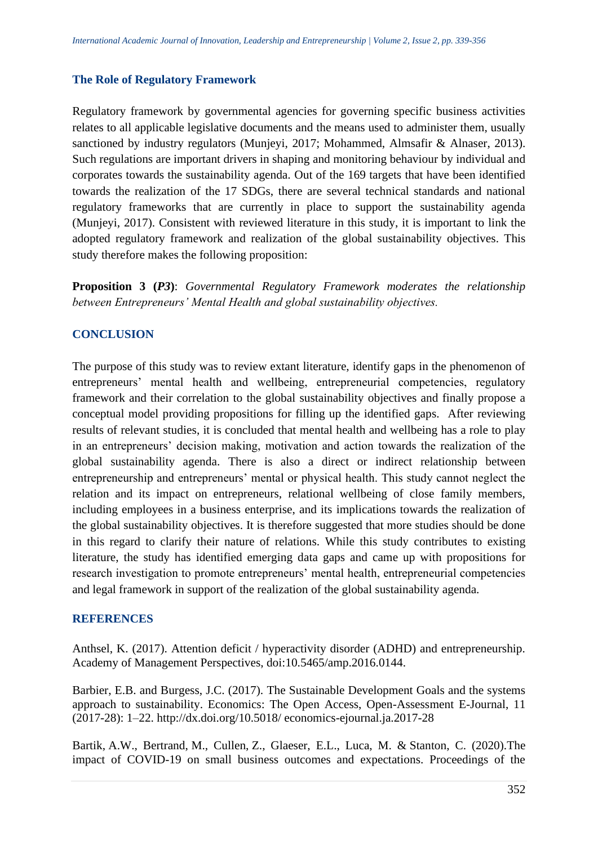# **The Role of Regulatory Framework**

Regulatory framework by governmental agencies for governing specific business activities relates to all applicable legislative documents and the means used to administer them, usually sanctioned by industry regulators (Munjeyi, 2017; Mohammed, Almsafir & Alnaser, 2013). Such regulations are important drivers in shaping and monitoring behaviour by individual and corporates towards the sustainability agenda. Out of the 169 targets that have been identified towards the realization of the 17 SDGs, there are several technical standards and national regulatory frameworks that are currently in place to support the sustainability agenda (Munjeyi, 2017). Consistent with reviewed literature in this study, it is important to link the adopted regulatory framework and realization of the global sustainability objectives. This study therefore makes the following proposition:

**Proposition 3 (***P3***)**: *Governmental Regulatory Framework moderates the relationship between Entrepreneurs' Mental Health and global sustainability objectives.* 

# **CONCLUSION**

The purpose of this study was to review extant literature, identify gaps in the phenomenon of entrepreneurs' mental health and wellbeing, entrepreneurial competencies, regulatory framework and their correlation to the global sustainability objectives and finally propose a conceptual model providing propositions for filling up the identified gaps. After reviewing results of relevant studies, it is concluded that mental health and wellbeing has a role to play in an entrepreneurs' decision making, motivation and action towards the realization of the global sustainability agenda. There is also a direct or indirect relationship between entrepreneurship and entrepreneurs' mental or physical health. This study cannot neglect the relation and its impact on entrepreneurs, relational wellbeing of close family members, including employees in a business enterprise, and its implications towards the realization of the global sustainability objectives. It is therefore suggested that more studies should be done in this regard to clarify their nature of relations. While this study contributes to existing literature, the study has identified emerging data gaps and came up with propositions for research investigation to promote entrepreneurs' mental health, entrepreneurial competencies and legal framework in support of the realization of the global sustainability agenda.

# **REFERENCES**

Anthsel, K. (2017). Attention deficit / hyperactivity disorder (ADHD) and entrepreneurship. Academy of Management Perspectives, doi:10.5465/amp.2016.0144.

Barbier, E.B. and Burgess, J.C. (2017). The Sustainable Development Goals and the systems approach to sustainability. Economics: The Open Access, Open-Assessment E-Journal, 11 (2017-28): 1–22. http://dx.doi.org/10.5018/ economics-ejournal.ja.2017-28

Bartik, A.W., Bertrand, M., Cullen, Z., Glaeser, E.L., Luca, M. & Stanton, C. (2020).The impact of COVID-19 on small business outcomes and expectations. Proceedings of the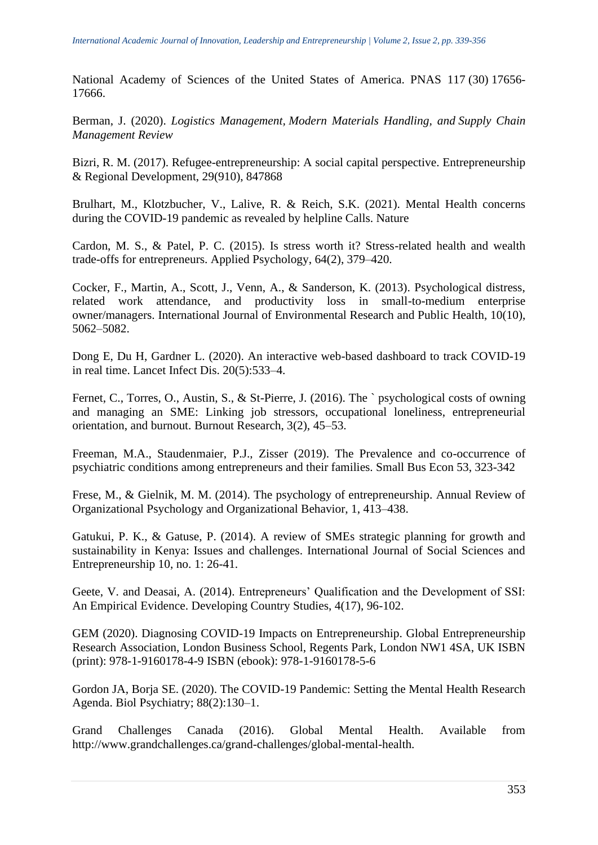National Academy of Sciences of the United States of America. PNAS 117 (30) 17656- 17666.

Berman, J. (2020). *Logistics Management, Modern Materials Handling, and Supply Chain Management Review*

Bizri, R. M. (2017). Refugee-entrepreneurship: A social capital perspective. Entrepreneurship & Regional Development, 29(910), 847868

Brulhart, M., Klotzbucher, V., Lalive, R. & Reich, S.K. (2021). Mental Health concerns during the COVID-19 pandemic as revealed by helpline Calls. Nature

Cardon, M. S., & Patel, P. C. (2015). Is stress worth it? Stress-related health and wealth trade-offs for entrepreneurs. Applied Psychology, 64(2), 379–420.

Cocker, F., Martin, A., Scott, J., Venn, A., & Sanderson, K. (2013). Psychological distress, related work attendance, and productivity loss in small-to-medium enterprise owner/managers. International Journal of Environmental Research and Public Health, 10(10), 5062–5082.

Dong E, Du H, Gardner L. (2020). An interactive web-based dashboard to track COVID-19 in real time. Lancet Infect Dis. 20(5):533–4.

Fernet, C., Torres, O., Austin, S., & St-Pierre, J. (2016). The ` psychological costs of owning and managing an SME: Linking job stressors, occupational loneliness, entrepreneurial orientation, and burnout. Burnout Research, 3(2), 45–53.

Freeman, M.A., Staudenmaier, P.J., Zisser (2019). The Prevalence and co-occurrence of psychiatric conditions among entrepreneurs and their families. Small Bus Econ 53, 323-342

Frese, M., & Gielnik, M. M. (2014). The psychology of entrepreneurship. Annual Review of Organizational Psychology and Organizational Behavior, 1, 413–438.

Gatukui, P. K., & Gatuse, P. (2014). A review of SMEs strategic planning for growth and sustainability in Kenya: Issues and challenges. International Journal of Social Sciences and Entrepreneurship 10, no. 1: 26-41.

Geete, V. and Deasai, A. (2014). Entrepreneurs' Qualification and the Development of SSI: An Empirical Evidence. Developing Country Studies, 4(17), 96-102.

GEM (2020). Diagnosing COVID-19 Impacts on Entrepreneurship. Global Entrepreneurship Research Association, London Business School, Regents Park, London NW1 4SA, UK ISBN (print): 978-1-9160178-4-9 ISBN (ebook): 978-1-9160178-5-6

Gordon JA, Borja SE. (2020). The COVID-19 Pandemic: Setting the Mental Health Research Agenda. Biol Psychiatry; 88(2):130–1.

Grand Challenges Canada (2016). Global Mental Health. Available from http://www.grandchallenges.ca/grand-challenges/global-mental-health.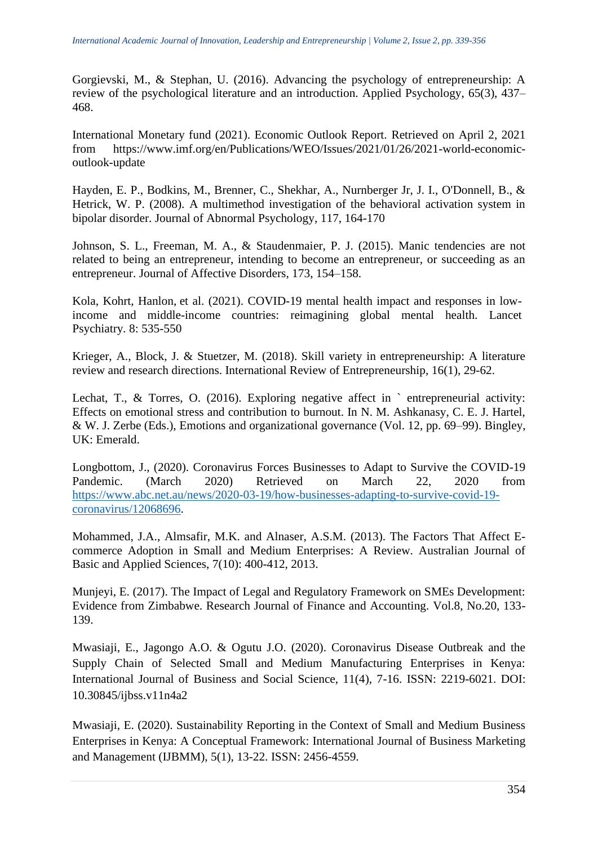Gorgievski, M., & Stephan, U. (2016). Advancing the psychology of entrepreneurship: A review of the psychological literature and an introduction. Applied Psychology, 65(3), 437– 468.

International Monetary fund (2021). Economic Outlook Report. Retrieved on April 2, 2021 from https://www.imf.org/en/Publications/WEO/Issues/2021/01/26/2021-world-economicoutlook-update

Hayden, E. P., Bodkins, M., Brenner, C., Shekhar, A., Nurnberger Jr, J. I., O'Donnell, B., & Hetrick, W. P. (2008). A multimethod investigation of the behavioral activation system in bipolar disorder. Journal of Abnormal Psychology, 117, 164-170

Johnson, S. L., Freeman, M. A., & Staudenmaier, P. J. (2015). Manic tendencies are not related to being an entrepreneur, intending to become an entrepreneur, or succeeding as an entrepreneur. Journal of Affective Disorders, 173, 154–158.

Kola, Kohrt, Hanlon, et al. (2021). COVID-19 mental health impact and responses in lowincome and middle-income countries: reimagining global mental health. Lancet Psychiatry*.* 8: 535-550

Krieger, A., Block, J. & Stuetzer, M. (2018). Skill variety in entrepreneurship: A literature review and research directions. International Review of Entrepreneurship, 16(1), 29-62.

Lechat, T., & Torres, O. (2016). Exploring negative affect in `entrepreneurial activity: Effects on emotional stress and contribution to burnout. In N. M. Ashkanasy, C. E. J. Hartel, & W. J. Zerbe (Eds.), Emotions and organizational governance (Vol. 12, pp. 69–99). Bingley, UK: Emerald.

Longbottom, J., (2020). Coronavirus Forces Businesses to Adapt to Survive the COVID-19 Pandemic. (March 2020) Retrieved on March 22, 2020 from [https://www.abc.net.au/news/2020-03-19/how-businesses-adapting-to-survive-covid-19](https://www.abc.net.au/news/2020-03-19/how-businesses-adapting-to-survive-covid-19-coronavirus/12068696) [coronavirus/12068696.](https://www.abc.net.au/news/2020-03-19/how-businesses-adapting-to-survive-covid-19-coronavirus/12068696)

Mohammed, J.A., Almsafir, M.K. and Alnaser, A.S.M. (2013). The Factors That Affect Ecommerce Adoption in Small and Medium Enterprises: A Review. Australian Journal of Basic and Applied Sciences, 7(10): 400-412, 2013.

Munjeyi, E. (2017). The Impact of Legal and Regulatory Framework on SMEs Development: Evidence from Zimbabwe. Research Journal of Finance and Accounting. Vol.8, No.20, 133- 139.

Mwasiaji, E., Jagongo A.O. & Ogutu J.O. (2020). Coronavirus Disease Outbreak and the Supply Chain of Selected Small and Medium Manufacturing Enterprises in Kenya: International Journal of Business and Social Science, 11(4), 7-16. ISSN: 2219-6021. DOI: 10.30845/ijbss.v11n4a2

Mwasiaji, E. (2020). Sustainability Reporting in the Context of Small and Medium Business Enterprises in Kenya: A Conceptual Framework: International Journal of Business Marketing and Management (IJBMM), 5(1), 13-22. ISSN: 2456-4559.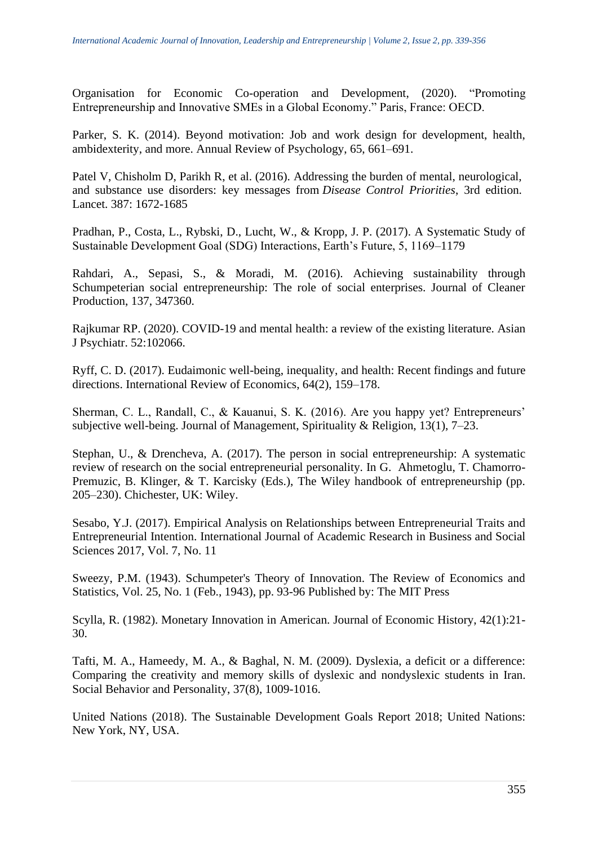Organisation for Economic Co-operation and Development, (2020). "Promoting Entrepreneurship and Innovative SMEs in a Global Economy." Paris, France: OECD.

Parker, S. K. (2014). Beyond motivation: Job and work design for development, health, ambidexterity, and more. Annual Review of Psychology, 65, 661–691.

Patel V, Chisholm D, Parikh R, et al. (2016). Addressing the burden of mental, neurological, and substance use disorders: key messages from *Disease Control Priorities*, 3rd edition. Lancet. 387: 1672-1685

Pradhan, P., Costa, L., Rybski, D., Lucht, W., & Kropp, J. P. (2017). A Systematic Study of Sustainable Development Goal (SDG) Interactions, Earth's Future, 5, 1169–1179

Rahdari, A., Sepasi, S., & Moradi, M. (2016). Achieving sustainability through Schumpeterian social entrepreneurship: The role of social enterprises. Journal of Cleaner Production, 137, 347360.

Rajkumar RP. (2020). COVID-19 and mental health: a review of the existing literature. Asian J Psychiatr. 52:102066.

Ryff, C. D. (2017). Eudaimonic well-being, inequality, and health: Recent findings and future directions. International Review of Economics, 64(2), 159–178.

Sherman, C. L., Randall, C., & Kauanui, S. K. (2016). Are you happy yet? Entrepreneurs' subjective well-being. Journal of Management, Spirituality & Religion, 13(1), 7–23.

Stephan, U., & Drencheva, A. (2017). The person in social entrepreneurship: A systematic review of research on the social entrepreneurial personality. In G. Ahmetoglu, T. Chamorro-Premuzic, B. Klinger, & T. Karcisky (Eds.), The Wiley handbook of entrepreneurship (pp. 205–230). Chichester, UK: Wiley.

Sesabo, Y.J. (2017). Empirical Analysis on Relationships between Entrepreneurial Traits and Entrepreneurial Intention. International Journal of Academic Research in Business and Social Sciences 2017, Vol. 7, No. 11

Sweezy, P.M. (1943). Schumpeter's Theory of Innovation. The Review of Economics and Statistics, Vol. 25, No. 1 (Feb., 1943), pp. 93-96 Published by: The MIT Press

Scylla, R. (1982). Monetary Innovation in American. Journal of Economic History, 42(1):21- 30.

Tafti, M. A., Hameedy, M. A., & Baghal, N. M. (2009). Dyslexia, a deficit or a difference: Comparing the creativity and memory skills of dyslexic and nondyslexic students in Iran. Social Behavior and Personality, 37(8), 1009-1016.

United Nations (2018). The Sustainable Development Goals Report 2018; United Nations: New York, NY, USA.